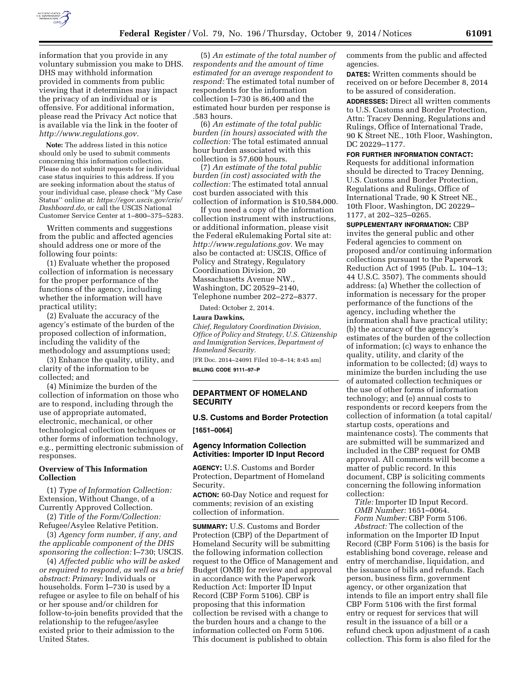

information that you provide in any voluntary submission you make to DHS. DHS may withhold information provided in comments from public viewing that it determines may impact the privacy of an individual or is offensive. For additional information, please read the Privacy Act notice that is available via the link in the footer of *[http://www.regulations.gov.](http://www.regulations.gov)* 

**Note:** The address listed in this notice should only be used to submit comments concerning this information collection. Please do not submit requests for individual case status inquiries to this address. If you are seeking information about the status of your individual case, please check ''My Case Status'' online at: *[https://egov.uscis.gov/cris/](https://egov.uscis.gov/cris/Dashboard.do)  [Dashboard.do,](https://egov.uscis.gov/cris/Dashboard.do)* or call the USCIS National Customer Service Center at 1–800–375–5283.

Written comments and suggestions from the public and affected agencies should address one or more of the following four points:

(1) Evaluate whether the proposed collection of information is necessary for the proper performance of the functions of the agency, including whether the information will have practical utility;

(2) Evaluate the accuracy of the agency's estimate of the burden of the proposed collection of information, including the validity of the methodology and assumptions used;

(3) Enhance the quality, utility, and clarity of the information to be collected; and

(4) Minimize the burden of the collection of information on those who are to respond, including through the use of appropriate automated, electronic, mechanical, or other technological collection techniques or other forms of information technology, e.g., permitting electronic submission of responses.

## **Overview of This Information Collection**

(1) *Type of Information Collection:*  Extension, Without Change, of a Currently Approved Collection.

(2) *Title of the Form/Collection:*  Refugee/Asylee Relative Petition.

(3) *Agency form number, if any, and the applicable component of the DHS sponsoring the collection:* I–730; USCIS.

(4) *Affected public who will be asked or required to respond, as well as a brief abstract: Primary:* Individuals or households. Form I–730 is used by a refugee or asylee to file on behalf of his or her spouse and/or children for follow-to-join benefits provided that the relationship to the refugee/asylee existed prior to their admission to the United States.

(5) *An estimate of the total number of respondents and the amount of time estimated for an average respondent to respond:* The estimated total number of respondents for the information collection I–730 is 86,400 and the estimated hour burden per response is .583 hours.

(6) *An estimate of the total public burden (in hours) associated with the collection:* The total estimated annual hour burden associated with this collection is 57,600 hours.

(7) *An estimate of the total public burden (in cost) associated with the collection:* The estimated total annual cost burden associated with this collection of information is \$10,584,000.

If you need a copy of the information collection instrument with instructions, or additional information, please visit the Federal eRulemaking Portal site at: *[http://www.regulations.gov.](http://www.regulations.gov)* We may also be contacted at: USCIS, Office of Policy and Strategy, Regulatory Coordination Division, 20 Massachusetts Avenue NW., Washington, DC 20529–2140, Telephone number 202–272–8377.

Dated: October 2, 2014.

## **Laura Dawkins,**

*Chief, Regulatory Coordination Division, Office of Policy and Strategy, U.S. Citizenship and Immigration Services, Department of Homeland Security.* 

[FR Doc. 2014–24091 Filed 10–8–14; 8:45 am] **BILLING CODE 9111–97–P** 

## **DEPARTMENT OF HOMELAND SECURITY**

# **U.S. Customs and Border Protection**

**[1651–0064]** 

## **Agency Information Collection Activities: Importer ID Input Record**

**AGENCY:** U.S. Customs and Border Protection, Department of Homeland Security.

**ACTION:** 60-Day Notice and request for comments; revision of an existing collection of information.

**SUMMARY:** U.S. Customs and Border Protection (CBP) of the Department of Homeland Security will be submitting the following information collection request to the Office of Management and Budget (OMB) for review and approval in accordance with the Paperwork Reduction Act: Importer ID Input Record (CBP Form 5106). CBP is proposing that this information collection be revised with a change to the burden hours and a change to the information collected on Form 5106. This document is published to obtain

comments from the public and affected agencies.

**DATES:** Written comments should be received on or before December 8, 2014 to be assured of consideration.

**ADDRESSES:** Direct all written comments to U.S. Customs and Border Protection, Attn: Tracey Denning, Regulations and Rulings, Office of International Trade, 90 K Street NE., 10th Floor, Washington, DC 20229–1177.

## **FOR FURTHER INFORMATION CONTACT:**

Requests for additional information should be directed to Tracey Denning, U.S. Customs and Border Protection, Regulations and Rulings, Office of International Trade, 90 K Street NE., 10th Floor, Washington, DC 20229– 1177, at 202–325–0265.

**SUPPLEMENTARY INFORMATION:** CBP invites the general public and other Federal agencies to comment on proposed and/or continuing information collections pursuant to the Paperwork Reduction Act of 1995 (Pub. L. 104–13; 44 U.S.C. 3507). The comments should address: (a) Whether the collection of information is necessary for the proper performance of the functions of the agency, including whether the information shall have practical utility; (b) the accuracy of the agency's estimates of the burden of the collection of information; (c) ways to enhance the quality, utility, and clarity of the information to be collected; (d) ways to minimize the burden including the use of automated collection techniques or the use of other forms of information technology; and (e) annual costs to respondents or record keepers from the collection of information (a total capital/ startup costs, operations and maintenance costs). The comments that are submitted will be summarized and included in the CBP request for OMB approval. All comments will become a matter of public record. In this document, CBP is soliciting comments concerning the following information collection:

*Title:* Importer ID Input Record. *OMB Number:* 1651–0064.

*Form Number:* CBP Form 5106. *Abstract:* The collection of the

information on the Importer ID Input Record (CBP Form 5106) is the basis for establishing bond coverage, release and entry of merchandise, liquidation, and the issuance of bills and refunds. Each person, business firm, government agency, or other organization that intends to file an import entry shall file CBP Form 5106 with the first formal entry or request for services that will result in the issuance of a bill or a refund check upon adjustment of a cash collection. This form is also filed for the